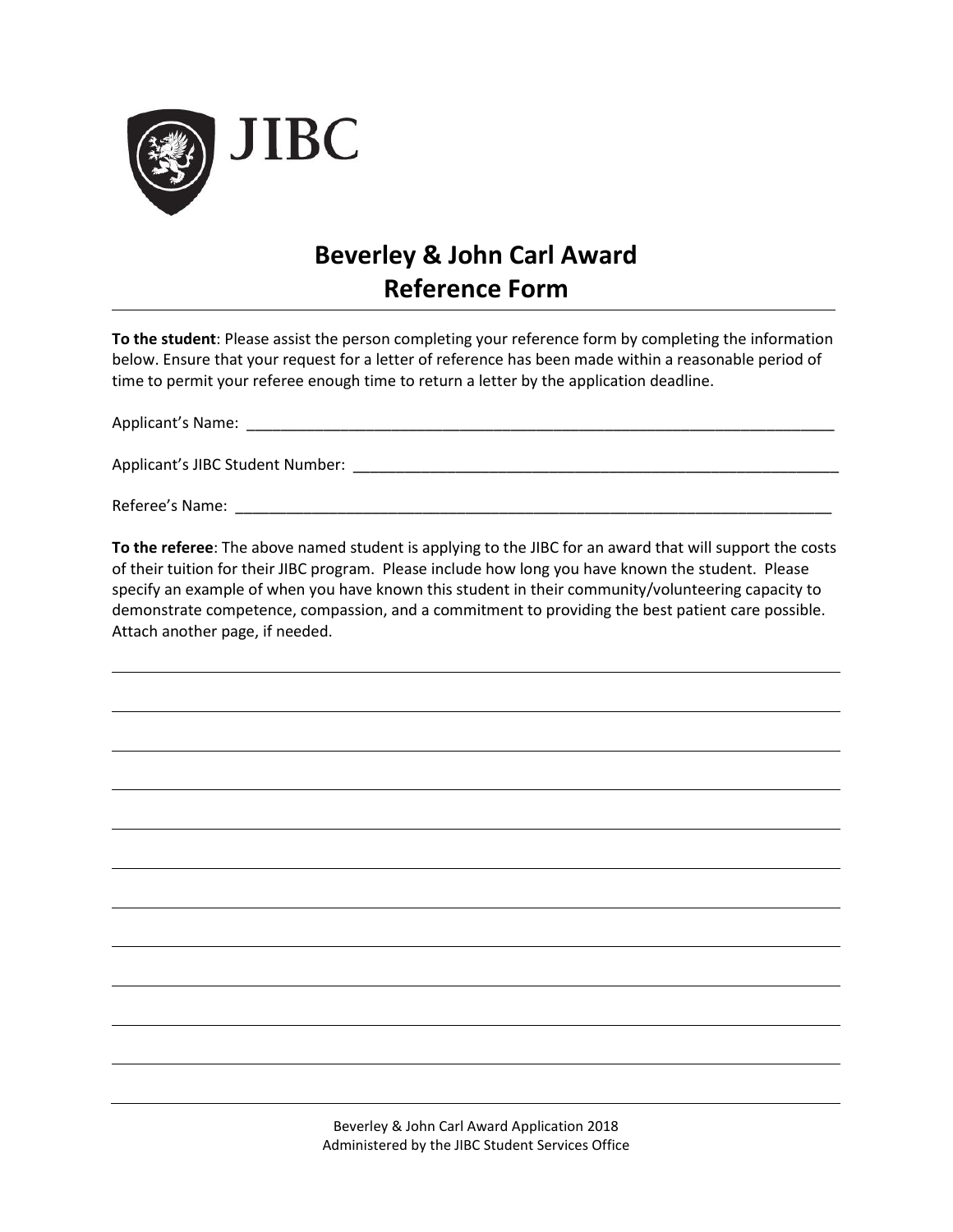

## **Beverley & John Carl Award Reference Form**

**To the student**: Please assist the person completing your reference form by completing the information below. Ensure that your request for a letter of reference has been made within a reasonable period of time to permit your referee enough time to return a letter by the application deadline.

Applicant's Name: \_\_\_\_\_\_\_\_\_\_\_\_\_\_\_\_\_\_\_\_\_\_\_\_\_\_\_\_\_\_\_\_\_\_\_\_\_\_\_\_\_\_\_\_\_\_\_\_\_\_\_\_\_\_\_\_\_\_\_\_\_\_\_\_\_\_\_\_\_

Applicant's JIBC Student Number: \_\_\_\_\_\_\_\_\_\_\_\_\_\_\_\_\_\_\_\_\_\_\_\_\_\_\_\_\_\_\_\_\_\_\_\_\_\_\_\_\_\_\_\_\_\_\_\_\_\_\_\_\_\_\_\_\_

Referee's Name: \_\_\_\_\_\_\_\_\_\_\_\_\_\_\_\_\_\_\_\_\_\_\_\_\_\_\_\_\_\_\_\_\_\_\_\_\_\_\_\_\_\_\_\_\_\_\_\_\_\_\_\_\_\_\_\_\_\_\_\_\_\_\_\_\_\_\_\_\_\_

**To the referee**: The above named student is applying to the JIBC for an award that will support the costs of their tuition for their JIBC program. Please include how long you have known the student. Please specify an example of when you have known this student in their community/volunteering capacity to demonstrate competence, compassion, and a commitment to providing the best patient care possible. Attach another page, if needed.